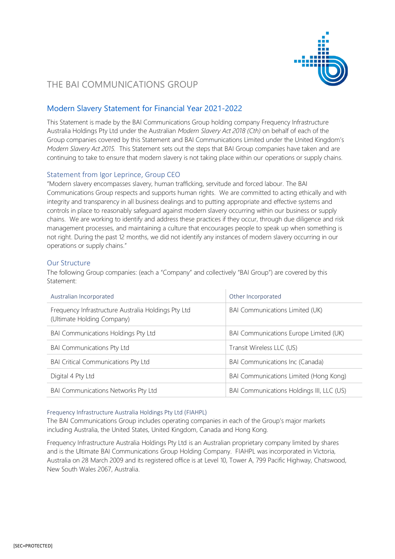

# THE BAI COMMUNICATIONS GROUP

## Modern Slavery Statement for Financial Year 2021-2022

This Statement is made by the BAI Communications Group holding company Frequency Infrastructure Australia Holdings Pty Ltd under the Australian *Modern Slavery Act 2018 (Cth)* on behalf of each of the Group companies covered by this Statement and BAI Communications Limited under the United Kingdom's *Modern Slavery Act 2015.* This Statement sets out the steps that BAI Group companies have taken and are continuing to take to ensure that modern slavery is not taking place within our operations or supply chains.

## Statement from Igor Leprince, Group CEO

"Modern slavery encompasses slavery, human trafficking, servitude and forced labour. The BAI Communications Group respects and supports human rights. We are committed to acting ethically and with integrity and transparency in all business dealings and to putting appropriate and effective systems and controls in place to reasonably safeguard against modern slavery occurring within our business or supply chains. We are working to identify and address these practices if they occur, through due diligence and risk management processes, and maintaining a culture that encourages people to speak up when something is not right. During the past 12 months, we did not identify any instances of modern slavery occurring in our operations or supply chains."

## Our Structure

The following Group companies: (each a "Company" and collectively "BAI Group") are covered by this Statement:

| Australian Incorporated                                                           | Other Incorporated                        |  |
|-----------------------------------------------------------------------------------|-------------------------------------------|--|
| Frequency Infrastructure Australia Holdings Pty Ltd<br>(Ultimate Holding Company) | <b>BAI Communications Limited (UK)</b>    |  |
| <b>BAI Communications Holdings Pty Ltd</b>                                        | BAI Communications Europe Limited (UK)    |  |
| <b>BAI Communications Pty Ltd</b>                                                 | Transit Wireless LLC (US)                 |  |
| <b>BAI Critical Communications Pty Ltd</b>                                        | <b>BAI Communications Inc (Canada)</b>    |  |
| Digital 4 Pty Ltd                                                                 | BAI Communications Limited (Hong Kong)    |  |
| <b>BAI Communications Networks Pty Ltd</b>                                        | BAI Communications Holdings III, LLC (US) |  |

#### Frequency Infrastructure Australia Holdings Pty Ltd (FIAHPL)

The BAI Communications Group includes operating companies in each of the Group's major markets including Australia, the United States, United Kingdom, Canada and Hong Kong.

Frequency Infrastructure Australia Holdings Pty Ltd is an Australian proprietary company limited by shares and is the Ultimate BAI Communications Group Holding Company. FIAHPL was incorporated in Victoria, Australia on 28 March 2009 and its registered office is at Level 10, Tower A, 799 Pacific Highway, Chatswood, New South Wales 2067, Australia.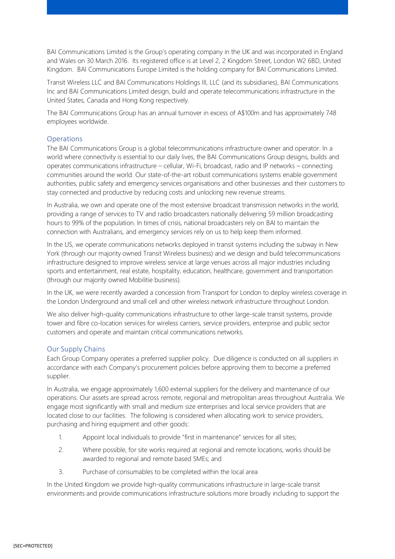BAI Communications Limited is the Group's operating company in the UK and was incorporated in England and Wales on 30 March 2016. Its registered office is at Level 2, 2 Kingdom Street, London W2 6BD, United Kingdom. BAI Communications Europe Limited is the holding company for BAI Communications Limited.

Transit Wireless LLC and BAI Communications Holdings III, LLC (and its subsidiaries), BAI Communications Inc and BAI Communications Limited design, build and operate telecommunications infrastructure in the United States, Canada and Hong Kong respectively.

The BAI Communications Group has an annual turnover in excess of A\$100m and has approximately 748 employees worldwide.

## **Operations**

The BAI Communications Group is a global telecommunications infrastructure owner and operator. In a world where connectivity is essential to our daily lives, the BAI Communications Group designs, builds and operates communications infrastructure – cellular, Wi-Fi, broadcast, radio and IP networks – connecting communities around the world. Our state-of-the-art robust communications systems enable government authorities, public safety and emergency services organisations and other businesses and their customers to stay connected and productive by reducing costs and unlocking new revenue streams.

In Australia, we own and operate one of the most extensive broadcast transmission networks in the world, providing a range of services to TV and radio broadcasters nationally delivering 59 million broadcasting hours to 99% of the population. In times of crisis, national broadcasters rely on BAI to maintain the connection with Australians, and emergency services rely on us to help keep them informed.

In the US, we operate communications networks deployed in transit systems including the subway in New York (through our majority owned Transit Wireless business) and we design and build telecommunications infrastructure designed to improve wireless service at large venues across all major industries including sports and entertainment, real estate, hospitality, education, healthcare, government and transportation (through our majority owned Mobilitie business).

In the UK, we were recently awarded a concession from Transport for London to deploy wireless coverage in the London Underground and small cell and other wireless network infrastructure throughout London.

We also deliver high-quality communications infrastructure to other large-scale transit systems, provide tower and fibre co-location services for wireless carriers, service providers, enterprise and public sector customers and operate and maintain critical communications networks.

#### Our Supply Chains

Each Group Company operates a preferred supplier policy. Due diligence is conducted on all suppliers in accordance with each Company's procurement policies before approving them to become a preferred supplier.

In Australia, we engage approximately 1,600 external suppliers for the delivery and maintenance of our operations. Our assets are spread across remote, regional and metropolitan areas throughout Australia. We engage most significantly with small and medium size enterprises and local service providers that are located close to our facilities. The following is considered when allocating work to service providers, purchasing and hiring equipment and other goods:

- 1. Appoint local individuals to provide "first in maintenance" services for all sites;
- 2. Where possible, for site works required at regional and remote locations, works should be awarded to regional and remote based SMEs; and
- 3. Purchase of consumables to be completed within the local area

In the United Kingdom we provide high-quality communications infrastructure in large-scale transit environments and provide communications infrastructure solutions more broadly including to support the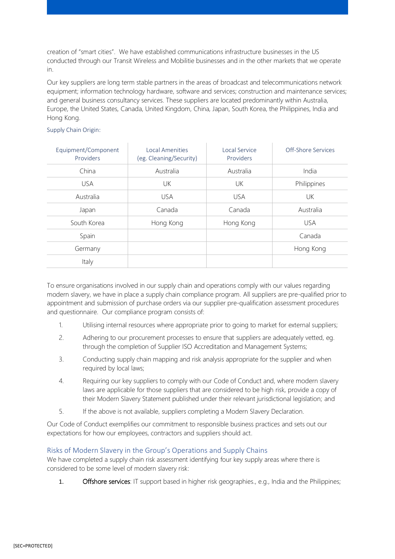creation of "smart cities". We have established communications infrastructure businesses in the US conducted through our Transit Wireless and Mobilitie businesses and in the other markets that we operate in.

Our key suppliers are long term stable partners in the areas of broadcast and telecommunications network equipment; information technology hardware, software and services; construction and maintenance services; and general business consultancy services. These suppliers are located predominantly within Australia, Europe, the United States, Canada, United Kingdom, China, Japan, South Korea, the Philippines, India and Hong Kong.

#### Supply Chain Origin:

| Equipment/Component<br>Providers | <b>Local Amenities</b><br>(eg. Cleaning/Security) | Local Service<br>Providers | Off-Shore Services |
|----------------------------------|---------------------------------------------------|----------------------------|--------------------|
| China                            | Australia                                         | Australia                  | India              |
| <b>USA</b>                       | UK                                                | UK                         | Philippines        |
| Australia                        | <b>USA</b>                                        | <b>USA</b>                 | UK                 |
| Japan                            | Canada                                            | Canada                     | Australia          |
| South Korea                      | Hong Kong                                         | Hong Kong                  | <b>USA</b>         |
| Spain                            |                                                   |                            | Canada             |
| Germany                          |                                                   |                            | Hong Kong          |
| Italy                            |                                                   |                            |                    |

To ensure organisations involved in our supply chain and operations comply with our values regarding modern slavery, we have in place a supply chain compliance program. All suppliers are pre-qualified prior to appointment and submission of purchase orders via our supplier pre-qualification assessment procedures and questionnaire. Our compliance program consists of:

- 1. Utilising internal resources where appropriate prior to going to market for external suppliers;
- 2. Adhering to our procurement processes to ensure that suppliers are adequately vetted, eg. through the completion of Supplier ISO Accreditation and Management Systems;
- 3. Conducting supply chain mapping and risk analysis appropriate for the supplier and when required by local laws;
- 4. Requiring our key suppliers to comply with our Code of Conduct and, where modern slavery laws are applicable for those suppliers that are considered to be high risk, provide a copy of their Modern Slavery Statement published under their relevant jurisdictional legislation; and
- 5. If the above is not available, suppliers completing a Modern Slavery Declaration.

Our Code of Conduct exemplifies our commitment to responsible business practices and sets out our expectations for how our employees, contractors and suppliers should act.

## Risks of Modern Slavery in the Group's Operations and Supply Chains

We have completed a supply chain risk assessment identifying four key supply areas where there is considered to be some level of modern slavery risk:

1. **Offshore services**: IT support based in higher risk geographies., e.g., India and the Philippines;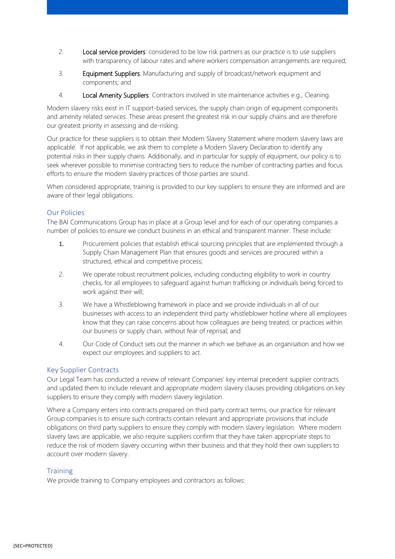- 2. Local service providers: considered to be low risk partners as our practice is to use suppliers with transparency of labour rates and where workers compensation arrangements are required;
- 3. Equipment Suppliers: Manufacturing and supply of broadcast/network equipment and components; and
- 4. Local Amenity Suppliers: Contractors involved in site maintenance activities e.g., Cleaning.

Modern slavery risks exist in IT support-based services, the supply chain origin of equipment components and amenity related services. These areas present the greatest risk in our supply chains and are therefore our greatest priority in assessing and de-risking.

Our practice for these suppliers is to obtain their Modern Slavery Statement where modern slavery laws are applicable. If not applicable, we ask them to complete a Modern Slavery Declaration to identify any potential risks in their supply chains. Additionally, and in particular for supply of equipment, our policy is to seek wherever possible to minimise contracting tiers to reduce the number of contracting parties and focus efforts to ensure the modern slavery practices of those parties are sound.

When considered appropriate, training is provided to our key suppliers to ensure they are informed and are aware of their legal obligations.

## Our Policies

The BAI Communications Group has in place at a Group level and for each of our operating companies a number of policies to ensure we conduct business in an ethical and transparent manner. These include:

- 1. Procurement policies that establish ethical sourcing principles that are implemented through a Supply Chain Management Plan that ensures goods and services are procured within a structured, ethical and competitive process;
- 2. We operate robust recruitment policies, including conducting eligibility to work in country checks, for all employees to safeguard against human trafficking or individuals being forced to work against their will;
- 3. We have a Whistleblowing framework in place and we provide individuals in all of our businesses with access to an independent third party whistleblower hotline where all employees know that they can raise concerns about how colleagues are being treated, or practices within our business or supply chain, without fear of reprisal; and
- 4. Our Code of Conduct sets out the manner in which we behave as an organisation and how we expect our employees and suppliers to act.

#### Key Supplier Contracts

Our Legal Team has conducted a review of relevant Companies' key internal precedent supplier contracts and updated them to include relevant and appropriate modern slavery clauses providing obligations on key suppliers to ensure they comply with modern slavery legislation.

Where a Company enters into contracts prepared on third party contract terms, our practice for relevant Group companies is to ensure such contracts contain relevant and appropriate provisions that include obligations on third party suppliers to ensure they comply with modern slavery legislation. Where modern slavery laws are applicable, we also require suppliers confirm that they have taken appropriate steps to reduce the risk of modern slavery occurring within their business and that they hold their own suppliers to account over modern slavery.

## **Training**

We provide training to Company employees and contractors as follows: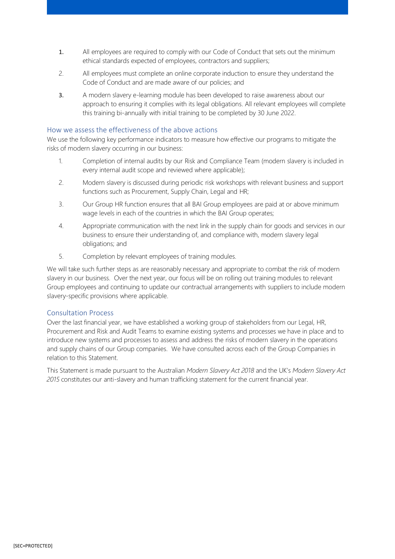- 1. All employees are required to comply with our Code of Conduct that sets out the minimum ethical standards expected of employees, contractors and suppliers;
- 2. All employees must complete an online corporate induction to ensure they understand the Code of Conduct and are made aware of our policies; and
- 3. A modern slavery e-learning module has been developed to raise awareness about our approach to ensuring it complies with its legal obligations. All relevant employees will complete this training bi-annually with initial training to be completed by 30 June 2022.

## How we assess the effectiveness of the above actions

We use the following key performance indicators to measure how effective our programs to mitigate the risks of modern slavery occurring in our business:

- 1. Completion of internal audits by our Risk and Compliance Team (modern slavery is included in every internal audit scope and reviewed where applicable);
- 2. Modern slavery is discussed during periodic risk workshops with relevant business and support functions such as Procurement, Supply Chain, Legal and HR;
- 3. Our Group HR function ensures that all BAI Group employees are paid at or above minimum wage levels in each of the countries in which the BAI Group operates;
- 4. Appropriate communication with the next link in the supply chain for goods and services in our business to ensure their understanding of, and compliance with, modern slavery legal obligations; and
- 5. Completion by relevant employees of training modules.

We will take such further steps as are reasonably necessary and appropriate to combat the risk of modern slavery in our business. Over the next year, our focus will be on rolling out training modules to relevant Group employees and continuing to update our contractual arrangements with suppliers to include modern slavery-specific provisions where applicable.

#### Consultation Process

Over the last financial year, we have established a working group of stakeholders from our Legal, HR, Procurement and Risk and Audit Teams to examine existing systems and processes we have in place and to introduce new systems and processes to assess and address the risks of modern slavery in the operations and supply chains of our Group companies. We have consulted across each of the Group Companies in relation to this Statement.

This Statement is made pursuant to the Australian *Modern Slavery Act 2018* and the UK's *Modern Slavery Act 2015* constitutes our anti-slavery and human trafficking statement for the current financial year.